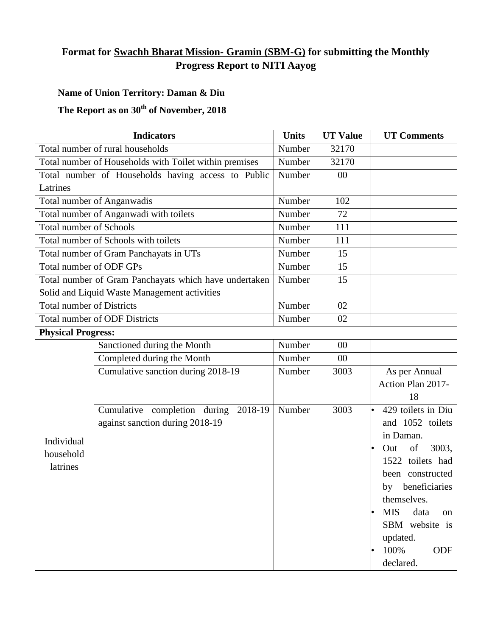## **Format for Swachh Bharat Mission- Gramin (SBM-G) for submitting the Monthly Progress Report to NITI Aayog**

## **Name of Union Territory: Daman & Diu**

## **The Report as on 30th of November, 2018**

| <b>Indicators</b>                                      |                                                       | <b>Units</b> | <b>UT Value</b> | <b>UT Comments</b>              |  |  |
|--------------------------------------------------------|-------------------------------------------------------|--------------|-----------------|---------------------------------|--|--|
| Total number of rural households                       |                                                       | Number       | 32170           |                                 |  |  |
| Total number of Households with Toilet within premises |                                                       | Number       | 32170           |                                 |  |  |
| Total number of Households having access to Public     |                                                       | Number       | 00              |                                 |  |  |
| Latrines                                               |                                                       |              |                 |                                 |  |  |
| Total number of Anganwadis                             |                                                       | Number       | 102             |                                 |  |  |
| Total number of Anganwadi with toilets                 |                                                       | Number       | 72              |                                 |  |  |
| <b>Total number of Schools</b>                         |                                                       | Number       | 111             |                                 |  |  |
| Total number of Schools with toilets                   |                                                       | Number       | 111             |                                 |  |  |
| Total number of Gram Panchayats in UTs                 |                                                       | Number       | 15              |                                 |  |  |
| Total number of ODF GPs                                |                                                       | Number       | 15              |                                 |  |  |
|                                                        | Total number of Gram Panchayats which have undertaken | Number       | 15              |                                 |  |  |
| Solid and Liquid Waste Management activities           |                                                       |              |                 |                                 |  |  |
| <b>Total number of Districts</b>                       |                                                       | Number       | 02              |                                 |  |  |
|                                                        | <b>Total number of ODF Districts</b>                  | Number       | 02              |                                 |  |  |
| <b>Physical Progress:</b>                              |                                                       |              |                 |                                 |  |  |
|                                                        | Sanctioned during the Month                           | Number       | $00\,$          |                                 |  |  |
| Individual                                             | Completed during the Month                            | Number       | $00\,$          |                                 |  |  |
|                                                        | Cumulative sanction during 2018-19                    | Number       | 3003            | As per Annual                   |  |  |
|                                                        |                                                       |              |                 | Action Plan 2017-               |  |  |
|                                                        |                                                       |              |                 | 18                              |  |  |
|                                                        | Cumulative completion during<br>2018-19               | Number       | 3003            | 429 toilets in Diu<br>$\bullet$ |  |  |
|                                                        | against sanction during 2018-19                       |              |                 | and 1052 toilets                |  |  |
|                                                        |                                                       |              |                 | in Daman.                       |  |  |
| household                                              |                                                       |              |                 | of<br>3003,<br>Out<br>$\bullet$ |  |  |
| latrines                                               |                                                       |              |                 | 1522 toilets had                |  |  |
|                                                        |                                                       |              |                 | been constructed                |  |  |
|                                                        |                                                       |              |                 | by beneficiaries                |  |  |
|                                                        |                                                       |              |                 | themselves.                     |  |  |
|                                                        |                                                       |              |                 | <b>MIS</b><br>data<br>on        |  |  |
|                                                        |                                                       |              |                 | SBM website is                  |  |  |
|                                                        |                                                       |              |                 | updated.                        |  |  |
|                                                        |                                                       |              |                 | 100%<br>ODF                     |  |  |
|                                                        |                                                       |              |                 | declared.                       |  |  |